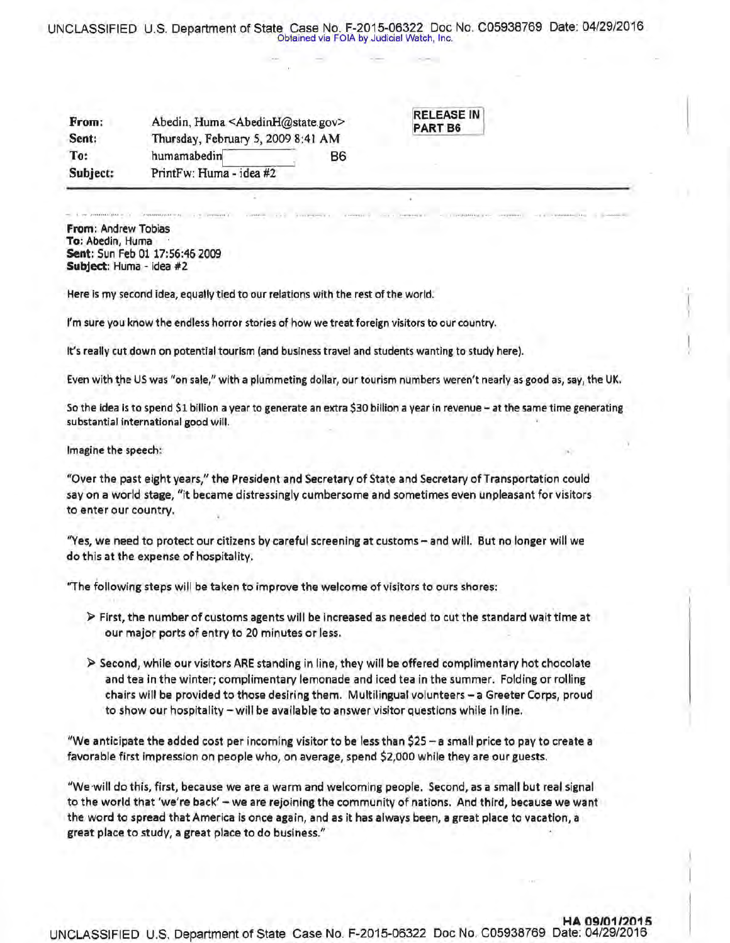## UNCLASSIFIED U.S. Department of State Case No. F-2015-06322 Doc No. C05938769 Date: 04/29/2016 Obtained via FOIA by Judicial Watch, Inc.

| From:    | Abedin, Huma <abedinh@state.gov></abedinh@state.gov> |           |  |
|----------|------------------------------------------------------|-----------|--|
| Sent:    | Thursday, February 5, 2009 8:41 AM                   |           |  |
| To:      | humamabedin                                          | <b>B6</b> |  |
| Subject: | PrintFw: Huma - idea #2                              |           |  |

RELEASE IN PART B6

From: Andrew Tobias To: Abedin, Huma Sent: Sun Feb 01 17:56:46 2009 Subject: Huma - idea #2

Here is my second idea, equally tied to our relations with the rest of the world.

I'm sure you know the endless horror stories of how we treat foreign visitors to our country.

It's really cut down on potential tourism (and business travel and students wanting to study here).

Even with the US was "on sale," with a plummeting dollar, our tourism numbers weren't nearly as good as, say, the UK.

So the idea is to spend \$1 billion a year to generate an extra \$30 billion a year in revenue - at the same time generating substantial international good will.

Imagine the speech:

"Over the past eight years," the President and Secretary of State and Secretary of Transportation could say on a world stage, "it became distressingly cumbersome and sometimes even unpleasant for visitors to enter our country.

"Yes, we need to protect our citizens by careful screening at customs - and will. But no longer will we do this at the expense of hospitality.

"The following steps will be taken to improve the welcome of visitors to ours shores:

- $\triangleright$  First, the number of customs agents will be increased as needed to cut the standard wait time at our major ports of entry to 20 minutes or less.
- $\triangleright$  Second, while our visitors ARE standing in line, they will be offered complimentary hot chocolate and tea in the winter; complimentary lemonade and iced tea in the summer. Folding or rolling chairs will be provided to those desiring them. Multilingual volunteers - a Greeter Corps, proud to show our hospitality - will be available to answer visitor questions while in line.

"We anticipate the added cost per incoming visitor to be less than \$25 - a small price to pay to create a favorable first impression on people who, on average, spend \$2,000 while they are our guests.

"We will do this, first, because we are a warm and welcoming people. Second, as a small but real signal to the world that 'we're back' - we are rejoining the community of nations. And third, because we want the word to spread that America is once again, and as it has always been, a great place to vacation, a great place to study, a great place to do business."